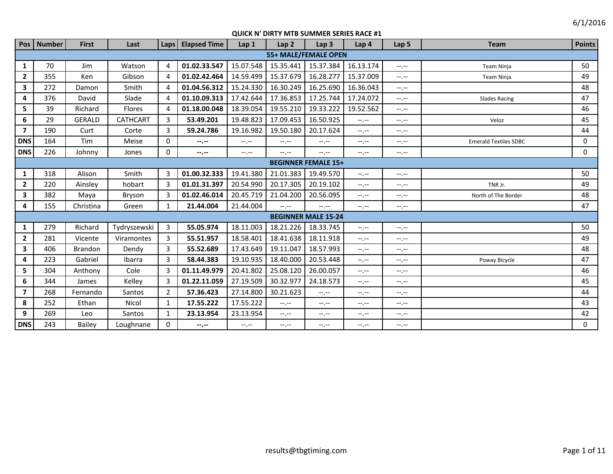| Pos                     | <b>Number</b>              | <b>First</b>   | Last            | Laps           | <b>Elapsed Time</b> | Lap <sub>1</sub> | Lap <sub>2</sub>            | Lap <sub>3</sub>           | Lap 4       | Lap 5            | <b>Team</b>                  | <b>Points</b> |
|-------------------------|----------------------------|----------------|-----------------|----------------|---------------------|------------------|-----------------------------|----------------------------|-------------|------------------|------------------------------|---------------|
|                         |                            |                |                 |                |                     |                  | <b>55+ MALE/FEMALE OPEN</b> |                            |             |                  |                              |               |
| $\mathbf{1}$            | 70                         | Jim            | Watson          | $\overline{4}$ | 01.02.33.547        | 15.07.548        | 15.35.441                   | 15.37.384                  | 16.13.174   | $-1$ , $-1$      | Team Ninja                   | 50            |
| $\mathbf{2}$            | 355                        | <b>Ken</b>     | Gibson          | $\overline{4}$ | 01.02.42.464        | 14.59.499        | 15.37.679                   | 16.28.277                  | 15.37.009   | $-1 - 1 - 1 = 0$ | Team Ninja                   | 49            |
| $\overline{\mathbf{3}}$ | 272                        | Damon          | Smith           | $\overline{4}$ | 01.04.56.312        | 15.24.330        | 16.30.249                   | 16.25.690                  | 16.36.043   | $-1$ , $-1$      |                              | 48            |
| 4                       | 376                        | David          | Slade           | $\Delta$       | 01.10.09.313        | 17.42.644        | 17.36.853                   | 17.25.744                  | 17.24.072   | $-1.1 - 1.0$     | <b>Slades Racing</b>         | 47            |
| 5                       | 39                         | Richard        | <b>Flores</b>   | $\overline{4}$ | 01.18.00.048        | 18.39.054        | 19.55.210                   | 19.33.222                  | 19.52.562   | $-1, -1$         |                              | 46            |
| 6                       | 29                         | <b>GERALD</b>  | <b>CATHCART</b> | 3              | 53.49.201           | 19.48.823        | 17.09.453                   | 16.50.925                  | $-1, -1$    | $-1, -1$         | Veloz                        | 45            |
| $\overline{7}$          | 190                        | Curt           | Corte           | 3              | 59.24.786           | 19.16.982        | 19.50.180                   | 20.17.624                  | $-1. - -$   | $-1, -1$         |                              | 44            |
| <b>DNS</b>              | 164                        | Tim            | Meise           | $\Omega$       | --.--               | $-1, -1$         | $-1, -1$                    | $-1$ , $-1$                | $-1, -1$    | $-1 - 1 - 1 = 0$ | <b>Emerald Textiles SDBC</b> | $\Omega$      |
| DNS                     | 226                        | Johnny         | Jones           | $\Omega$       | --.--               | $-1. -1$         | $-1 - 1 - 1 = 0$            | $-1$ , $-1$                | $-1. - -$   | $-1. -1$         |                              | $\Omega$      |
|                         | <b>BEGINNER FEMALE 15+</b> |                |                 |                |                     |                  |                             |                            |             |                  |                              |               |
| 1                       | 318                        | Alison         | Smith           | 3              | 01.00.32.333        | 19.41.380        | 21.01.383                   | 19.49.570                  | $-1$ .      | $-1, -1$         |                              | 50            |
| $\mathbf{2}$            | 220                        | Ainsley        | hobart          | 3              | 01.01.31.397        | 20.54.990        | 20.17.305                   | 20.19.102                  | $-1$        | $-1 - 1 - 1 = 0$ | TNR Jr.                      | 49            |
| 3                       | 382                        | Maya           | Bryson          | 3              | 01.02.46.014        | 20.45.719        | 21.04.200                   | 20.56.095                  | $-1. - -$   | $-1, -1$         | North of The Border          | 48            |
| 4                       | 155                        | Christina      | Green           | 1              | 21.44.004           | 21.44.004        | $-1$                        | $-1 - 1 - 1 = 0$           | $-1$ , $-1$ | $-1. -1$         |                              | 47            |
|                         |                            |                |                 |                |                     |                  |                             | <b>BEGINNER MALE 15-24</b> |             |                  |                              |               |
| 1                       | 279                        | Richard        | Tydryszewski    | 3              | 55.05.974           | 18.11.003        | 18.21.226                   | 18.33.745                  | $--, --$    | $-1 - 1 - 1 = 0$ |                              | 50            |
| $\overline{2}$          | 281                        | Vicente        | Viramontes      | 3              | 55.51.957           | 18.58.401        | 18.41.638                   | 18.11.918                  | $-1. - -$   | $-1. -1$         |                              | 49            |
| 3                       | 406                        | <b>Brandon</b> | Dendy           | 3              | 55.52.689           | 17.43.649        | 19.11.047                   | 18.57.993                  | $-1, -1$    | $-1$ , $-1$      |                              | 48            |
| 4                       | 223                        | Gabriel        | Ibarra          | 3              | 58.44.383           | 19.10.935        | 18.40.000                   | 20.53.448                  | $-1. - -$   | $-1, -1$         | Poway Bicycle                | 47            |
| 5                       | 304                        | Anthony        | Cole            | 3              | 01.11.49.979        | 20.41.802        | 25.08.120                   | 26.00.057                  | $-1. - -$   | $-1 - 1 - 1 = 0$ |                              | 46            |
| 6                       | 344                        | James          | Kelley          | 3              | 01.22.11.059        | 27.19.509        | 30.32.977                   | 24.18.573                  | $-1. - -$   | $-1. - -$        |                              | 45            |
| $\overline{7}$          | 268                        | Fernando       | Santos          | $\overline{2}$ | 57.36.423           | 27.14.800        | 30.21.623                   | $-1$                       | $-1$ , $-1$ | $-1, -1$         |                              | 44            |
| 8                       | 252                        | Ethan          | Nicol           | $\mathbf{1}$   | 17.55.222           | 17.55.222        | $-1, -1$                    | $-1, -1$                   | $-1, -1$    | $-1 - 1 - 1 = 0$ |                              | 43            |
| 9                       | 269                        | Leo            | Santos          | 1              | 23.13.954           | 23.13.954        | $-1 - 1 - 1 = 0$            | $-1, -1$                   | $-1, -1$    | $-1.1 -$         |                              | 42            |
| <b>DNS</b>              | 243                        | <b>Bailey</b>  | Loughnane       | 0              | --.--               | $-1 - 1 - 1 = 0$ | $-1. -1$                    | --.--                      | --.--       | $-1, -1$         |                              | $\Omega$      |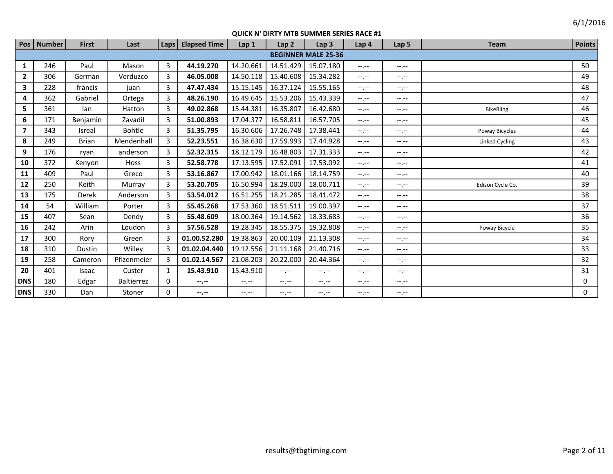|                | Pos   Number | <b>First</b>  | Last          | Laps     | <b>Elapsed Time</b> | Lap <sub>1</sub> | Lap <sub>2</sub> | Lap <sub>3</sub>           | Lap 4            | Lap <sub>5</sub> | <b>Team</b>           | <b>Points</b> |
|----------------|--------------|---------------|---------------|----------|---------------------|------------------|------------------|----------------------------|------------------|------------------|-----------------------|---------------|
|                |              |               |               |          |                     |                  |                  | <b>BEGINNER MALE 25-36</b> |                  |                  |                       |               |
| $\mathbf{1}$   | 246          | Paul          | Mason         | 3        | 44.19.270           | 14.20.661        | 14.51.429        | 15.07.180                  | $-1 - 1 - 1 = 0$ | $-1$ , $-1$      |                       | 50            |
| $\mathbf{2}$   | 306          | German        | Verduzco      | 3        | 46.05.008           | 14.50.118        | 15.40.608        | 15.34.282                  | $-1 - 1 - 1 = 0$ | $-1 - 1 - 1 = 0$ |                       | 49            |
| 3              | 228          | francis       | juan          | 3        | 47.47.434           | 15.15.145        | 16.37.124        | 15.55.165                  | $-1$ , $-1$      | $-1$ , $-1$      |                       | 48            |
| 4              | 362          | Gabriel       | Ortega        | 3        | 48.26.190           | 16.49.645        | 15.53.206        | 15.43.339                  | $-1$ , $-1$      | $-1 - 1 - 1 = 0$ |                       | 47            |
| 5              | 361          | lan           | Hatton        | 3        | 49.02.868           | 15.44.381        | 16.35.807        | 16.42.680                  | $-1$ , $-1$      | $-1 - 1 - 1 = 0$ | <b>BikeBling</b>      | 46            |
| 6              | 171          | Benjamin      | Zavadil       | 3        | 51.00.893           | 17.04.377        | 16.58.811        | 16.57.705                  | $-1$ , $-1$      | $-1 - 1 - 1 = 0$ |                       | 45            |
| $\overline{7}$ | 343          | <b>Isreal</b> | <b>Bohtle</b> | 3        | 51.35.795           | 16.30.606        | 17.26.748        | 17.38.441                  | $-1$ , $-1$      | $-1$ , $-1$      | Poway Bicycles        | 44            |
| 8              | 249          | <b>Brian</b>  | Mendenhall    | 3        | 52.23.551           | 16.38.630        | 17.59.993        | 17.44.928                  | $-1 - 1 - 1 = 0$ | $-1 - 1 - 1 = 0$ | <b>Linked Cycling</b> | 43            |
| 9              | 176          | ryan          | anderson      | 3        | 52.32.315           | 18.12.179        | 16.48.803        | 17.31.333                  | $-1 - 1 - 1 = 0$ | $-1 - 1 - 1 = 0$ |                       | 42            |
| 10             | 372          | Kenyon        | <b>Hoss</b>   | 3        | 52.58.778           | 17.13.595        | 17.52.091        | 17.53.092                  | $-1 - 1 - 1 = 0$ | $-1 - 1 - 1 = 0$ |                       | 41            |
| 11             | 409          | Paul          | Greco         | 3        | 53.16.867           | 17.00.942        | 18.01.166        | 18.14.759                  | $-1$ , $-1$      | $-1 - 1 - 1 = 0$ |                       | 40            |
| 12             | 250          | Keith         | Murray        | 3        | 53.20.705           | 16.50.994        | 18.29.000        | 18.00.711                  | $-1 - 1 - 1 = 0$ | $-1$ , $-1$      | Edison Cycle Co.      | 39            |
| 13             | 175          | Derek         | Anderson      | 3        | 53.54.012           | 16.51.255        | 18.21.285        | 18.41.472                  | $-1$ , $-1$      | $-1 - 1 - 1 = 0$ |                       | 38            |
| 14             | 54           | William       | Porter        | 3        | 55.45.268           | 17.53.360        | 18.51.511        | 19.00.397                  | $-1$ , $-1$      | $-1$ , $-1$      |                       | 37            |
| 15             | 407          | Sean          | Dendy         | 3        | 55.48.609           | 18.00.364        | 19.14.562        | 18.33.683                  | $-1$ , $-1$      | $-1 - 1 - 1 = 0$ |                       | 36            |
| 16             | 242          | Arin          | Loudon        | 3        | 57.56.528           | 19.28.345        | 18.55.375        | 19.32.808                  | $-1$ , $-1$      | $-1 - 1 - 1 = 0$ | Poway Bicycle         | 35            |
| 17             | 300          | Rory          | Green         | 3        | 01.00.52.280        | 19.38.863        | 20.00.109        | 21.13.308                  | $-1$ , $-1$      | $-1$ , $-1$      |                       | 34            |
| 18             | 310          | Dustin        | Willey        | 3        | 01.02.04.440        | 19.12.556        | 21.11.168        | 21.40.716                  | $-1$ , $-1$      | $-1$ , $-1$      |                       | 33            |
| 19             | 258          | Cameron       | Pfizenmeier   | 3        | 01.02.14.567        | 21.08.203        | 20.22.000        | 20.44.364                  | $-1$ , $-1$      | $-1 - 1 - 1 = 0$ |                       | 32            |
| 20             | 401          | Isaac         | Custer        | 1        | 15.43.910           | 15.43.910        | $-1$ , $-1$      | $-1$ , $-1$                | $-1$ , $-1$      | $-1 - 1 - 1 = 0$ |                       | 31            |
| <b>DNS</b>     | 180          | Edgar         | Baltierrez    | $\Omega$ | --.--               | $-1 - 1 - 1 = 0$ | $-1$ , $-1$      | $-1$ , $-1$                | $-1$ , $-1$      | $-1 - 1 - 1 = 0$ |                       | 0             |
| <b>DNS</b>     | 330          | Dan           | Stoner        | $\Omega$ | --.--               | $-1$ , $-1$      | $-1$ , $-1$      | $-1 - 1 - 1 = 0$           | $-1 - 1 - 1 = 0$ | $-1 - 1 - 1 = 0$ |                       | 0             |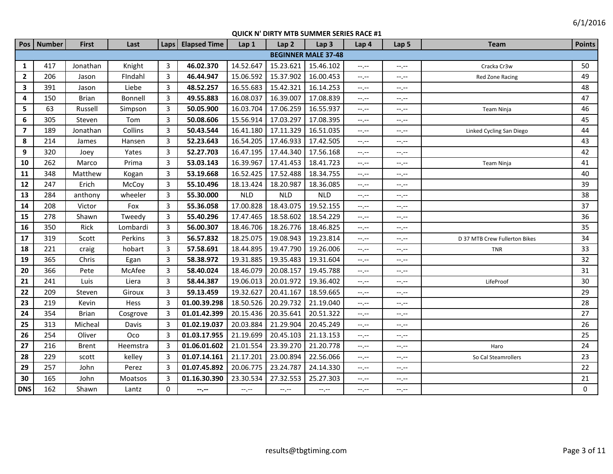| Pos            | <b>Number</b> | <b>First</b> | Last     | Laps           | <b>Elapsed Time</b> | Lap <sub>1</sub> | Lap <sub>2</sub> | Lap <sub>3</sub>           | Lap 4                       | Lap <sub>5</sub> | <b>Team</b>                   | <b>Points</b> |
|----------------|---------------|--------------|----------|----------------|---------------------|------------------|------------------|----------------------------|-----------------------------|------------------|-------------------------------|---------------|
|                |               |              |          |                |                     |                  |                  | <b>BEGINNER MALE 37-48</b> |                             |                  |                               |               |
| 1              | 417           | Jonathan     | Knight   | 3              | 46.02.370           | 14.52.647        | 15.23.621        | 15.46.102                  | $-1$ , $-1$                 | $-1$             | Cracka Cr3w                   | 50            |
| $\overline{2}$ | 206           | Jason        | Findahl  | 3              | 46.44.947           | 15.06.592        | 15.37.902        | 16.00.453                  | $-1$                        | $-1, -1$         | Red Zone Racing               | 49            |
| $\mathbf{3}$   | 391           | Jason        | Liebe    | 3              | 48.52.257           | 16.55.683        | 15.42.321        | 16.14.253                  | $-1, -1$                    | $-1, -1$         |                               | 48            |
| 4              | 150           | <b>Brian</b> | Bonnell  | 3              | 49.55.883           | 16.08.037        | 16.39.007        | 17.08.839                  | $-1, -1$                    | $-1, -1$         |                               | 47            |
| 5.             | 63            | Russell      | Simpson  | 3              | 50.05.900           | 16.03.704        | 17.06.259        | 16.55.937                  | $-1, -1$                    | $-1, -1$         | Team Ninja                    | 46            |
| 6              | 305           | Steven       | Tom      | 3              | 50.08.606           | 15.56.914        | 17.03.297        | 17.08.395                  | $-1$ . $-1$                 | $-1, -1$         |                               | 45            |
| $\overline{7}$ | 189           | Jonathan     | Collins  | 3              | 50.43.544           | 16.41.180        | 17.11.329        | 16.51.035                  | $-1, -1$                    | $-1$             | Linked Cycling San Diego      | 44            |
| 8              | 214           | James        | Hansen   | 3              | 52.23.643           | 16.54.205        | 17.46.933        | 17.42.505                  | $\leftarrow$ , $\leftarrow$ | $-1, -1$         |                               | 43            |
| 9              | 320           | Joey         | Yates    | 3              | 52.27.703           | 16.47.195        | 17.44.340        | 17.56.168                  | $-1, -1$                    | $--, --$         |                               | 42            |
| 10             | 262           | Marco        | Prima    | $\overline{3}$ | 53.03.143           | 16.39.967        | 17.41.453        | 18.41.723                  | $-1, -1$                    | $-1, -1$         | Team Ninja                    | 41            |
| 11             | 348           | Matthew      | Kogan    | 3              | 53.19.668           | 16.52.425        | 17.52.488        | 18.34.755                  | $-1, -1$                    | $-1, -1$         |                               | 40            |
| $12$           | 247           | Erich        | McCoy    | $\overline{3}$ | 55.10.496           | 18.13.424        | 18.20.987        | 18.36.085                  | $\leftarrow$ , $\leftarrow$ | $-1, -1$         |                               | 39            |
| 13             | 284           | anthony      | wheeler  | 3              | 55.30.000           | <b>NLD</b>       | <b>NLD</b>       | <b>NLD</b>                 | $-1, -1$                    | $-1, -1$         |                               | 38            |
| 14             | 208           | Victor       | Fox      | 3              | 55.36.058           | 17.00.828        | 18.43.075        | 19.52.155                  | $-1$ . $-1$                 | $-1, -1$         |                               | 37            |
| 15             | 278           | Shawn        | Tweedy   | 3              | 55.40.296           | 17.47.465        | 18.58.602        | 18.54.229                  | $-1, -1$                    | $-1, -1$         |                               | 36            |
| 16             | 350           | Rick         | Lombardi | 3              | 56.00.307           | 18.46.706        | 18.26.776        | 18.46.825                  | $-1, -1$                    | $--, --$         |                               | 35            |
| 17             | 319           | Scott        | Perkins  | 3              | 56.57.832           | 18.25.075        | 19.08.943        | 19.23.814                  | $-1$ .                      | $-1 - 1 - 1 = 0$ | D 37 MTB Crew Fullerton Bikes | 34            |
| 18             | 221           | craig        | hobart   | 3              | 57.58.691           | 18.44.895        | 19.47.790        | 19.26.006                  | $-1, -1$                    | $-1, -1$         | <b>TNR</b>                    | 33            |
| 19             | 365           | Chris        | Egan     | 3              | 58.38.972           | 19.31.885        | 19.35.483        | 19.31.604                  | $-1$ , $-1$                 | $-1 - 1 - 1 = 0$ |                               | 32            |
| 20             | 366           | Pete         | McAfee   | 3              | 58.40.024           | 18.46.079        | 20.08.157        | 19.45.788                  | $-1$ , $-1$                 | $-1, -1$         |                               | 31            |
| 21             | 241           | Luis         | Liera    | 3              | 58.44.387           | 19.06.013        | 20.01.972        | 19.36.402                  | $-1 - 1 - 1 = 0$            | $-1 - 1 - 1 = 0$ | LifeProof                     | 30            |
| 22             | 209           | Steven       | Giroux   | 3              | 59.13.459           | 19.32.627        | 20.41.167        | 18.59.665                  | $-1$ , $-1$                 | $-1, -1$         |                               | 29            |
| 23             | 219           | Kevin        | Hess     | 3              | 01.00.39.298        | 18.50.526        | 20.29.732        | 21.19.040                  | $-1$ , $-1$                 | $-1, -1$         |                               | 28            |
| 24             | 354           | <b>Brian</b> | Cosgrove | 3              | 01.01.42.399        | 20.15.436        | 20.35.641        | 20.51.322                  | $-1$ , $-1$                 | $-1$ , $-1$      |                               | 27            |
| 25             | 313           | Micheal      | Davis    | $\overline{3}$ | 01.02.19.037        | 20.03.884        | 21.29.904        | 20.45.249                  | $-1$ . $-1$                 | $-1, -1$         |                               | 26            |
| 26             | 254           | Oliver       | Oco      | 3              | 01.03.17.955        | 21.19.699        | 20.45.103        | 21.13.153                  | $-1, -1$                    | $-1, -1$         |                               | 25            |
| 27             | 216           | <b>Brent</b> | Heemstra | 3              | 01.06.01.602        | 21.01.554        | 23.39.270        | 21.20.778                  | $-1, -1$                    | $-1, -1$         | Haro                          | 24            |
| 28             | 229           | scott        | kelley   | 3              | 01.07.14.161        | 21.17.201        | 23.00.894        | 22.56.066                  | $-1, -1$                    | $-1, -1$         | So Cal Steamrollers           | 23            |
| 29             | 257           | John         | Perez    | 3              | 01.07.45.892        | 20.06.775        | 23.24.787        | 24.14.330                  | $-1, -1$                    | $-1, -1$         |                               | 22            |
| 30             | 165           | John         | Moatsos  | 3              | 01.16.30.390        | 23.30.534        | 27.32.553        | 25.27.303                  | $-1, -1$                    | $-1, -1$         |                               | 21            |
| <b>DNS</b>     | 162           | Shawn        | Lantz    | $\mathbf 0$    | $-2.7 -$            | $-1, -1$         | $-1, -1$         | $--, --$                   | $-1, -1$                    | $-1, -1$         |                               | 0             |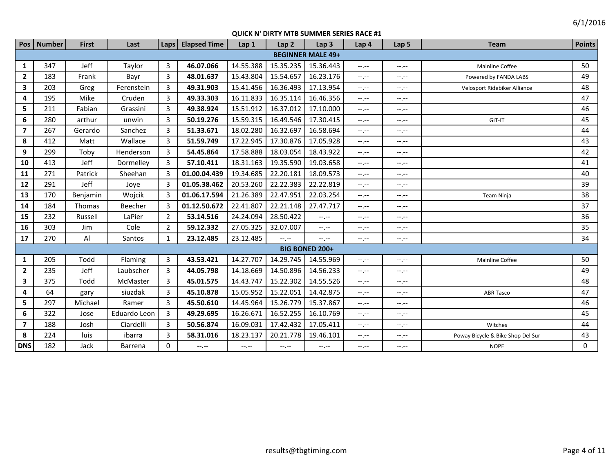|                         | Pos Number | <b>First</b> | Last         | Laps           | <b>Elapsed Time</b> | Lap 1     | Lap <sub>2</sub> | Lap <sub>3</sub>         | Lap 4            | Lap <sub>5</sub> | <b>Team</b>                       | <b>Points</b> |
|-------------------------|------------|--------------|--------------|----------------|---------------------|-----------|------------------|--------------------------|------------------|------------------|-----------------------------------|---------------|
|                         |            |              |              |                |                     |           |                  | <b>BEGINNER MALE 49+</b> |                  |                  |                                   |               |
| $\mathbf{1}$            | 347        | Jeff         | Taylor       | $\overline{3}$ | 46.07.066           | 14.55.388 | 15.35.235        | 15.36.443                | $-1$ , $-1$      | $-1$ , $-1$      | <b>Mainline Coffee</b>            | 50            |
| $\overline{2}$          | 183        | Frank        | Bayr         | 3              | 48.01.637           | 15.43.804 | 15.54.657        | 16.23.176                | $-1$ , $-1$      | $-1, -1$         | Powered by FANDA LABS             | 49            |
| $\overline{\mathbf{3}}$ | 203        | Greg         | Ferenstein   | 3              | 49.31.903           | 15.41.456 | 16.36.493        | 17.13.954                | $--, --$         | $-1$ , $-1$      | Velosport Ridebiker Alliance      | 48            |
| 4                       | 195        | Mike         | Cruden       | 3              | 49.33.303           | 16.11.833 | 16.35.114        | 16.46.356                | $-1$ , $-1$      | $-1$ , $-1$      |                                   | 47            |
| 5                       | 211        | Fabian       | Grassini     | 3              | 49.38.924           | 15.51.912 | 16.37.012        | 17.10.000                | $--, --$         | $-1, -1$         |                                   | 46            |
| 6                       | 280        | arthur       | unwin        | 3              | 50.19.276           | 15.59.315 | 16.49.546        | 17.30.415                | $-1$ , $-1$      | --.--            | GIT-IT                            | 45            |
| $\overline{7}$          | 267        | Gerardo      | Sanchez      | 3              | 51.33.671           | 18.02.280 | 16.32.697        | 16.58.694                | $-1$ , $-1$      | --.--            |                                   | 44            |
| 8                       | 412        | Matt         | Wallace      | 3              | 51.59.749           | 17.22.945 | 17.30.876        | 17.05.928                | $-1$ , $-1$      | $-1$             |                                   | 43            |
| 9                       | 299        | Toby         | Henderson    | 3              | 54.45.864           | 17.58.888 | 18.03.054        | 18.43.922                | $-1$ , $-1$      | $-1, -1$         |                                   | 42            |
| 10                      | 413        | Jeff         | Dormelley    | 3              | 57.10.411           | 18.31.163 | 19.35.590        | 19.03.658                | $-1 - 1 - 1 = 0$ | $-1$             |                                   | 41            |
| 11                      | 271        | Patrick      | Sheehan      | 3              | 01.00.04.439        | 19.34.685 | 22.20.181        | 18.09.573                | $-1$ , $-1$      | $-1$ , $-1$      |                                   | 40            |
| 12                      | 291        | Jeff         | Joye         | 3              | 01.05.38.462        | 20.53.260 | 22.22.383        | 22.22.819                | $-1$ , $-1$      | $-1 - 1 - 1 = 0$ |                                   | 39            |
| 13                      | 170        | Benjamin     | Wojcik       | -3             | 01.06.17.594        | 21.26.389 | 22.47.951        | 22.03.254                | $-1$ , $-1$      | $-1, -1$         | <b>Team Ninja</b>                 | 38            |
| 14                      | 184        | Thomas       | Beecher      | 3              | 01.12.50.672        | 22.41.807 | 22.21.148        | 27.47.717                | $--, --$         | $-1. -1$         |                                   | 37            |
| 15                      | 232        | Russell      | LaPier       | $\overline{2}$ | 53.14.516           | 24.24.094 | 28.50.422        | $-1 - 1 - 1 = 0$         | $--, --$         | $-1. -1$         |                                   | 36            |
| 16                      | 303        | Jim          | Cole         | 2              | 59.12.332           | 27.05.325 | 32.07.007        | $-1$                     | $-1, -1$         | $-1, -1$         |                                   | 35            |
| 17                      | 270        | Al           | Santos       | 1              | 23.12.485           | 23.12.485 | $-1 - 1 - 1 = 0$ | $--, --$                 | $--, --$         | $-1$             |                                   | 34            |
|                         |            |              |              |                |                     |           |                  | <b>BIG BONED 200+</b>    |                  |                  |                                   |               |
| 1                       | 205        | Todd         | Flaming      | 3              | 43.53.421           | 14.27.707 | 14.29.745        | 14.55.969                | $--, --$         | $-1, -1$         | Mainline Coffee                   | 50            |
| $\overline{2}$          | 235        | Jeff         | Laubscher    | 3              | 44.05.798           | 14.18.669 | 14.50.896        | 14.56.233                | $-1 - 1 - 1 = 0$ | $-1, -1$         |                                   | 49            |
| $\overline{\mathbf{3}}$ | 375        | Todd         | McMaster     | 3              | 45.01.575           | 14.43.747 | 15.22.302        | 14.55.526                | $--, --$         | $-1, -1$         |                                   | 48            |
| 4                       | 64         | gary         | siuzdak      | 3              | 45.10.878           | 15.05.952 | 15.22.051        | 14.42.875                | $-1, -1$         | $-1, -1$         | <b>ABR Tasco</b>                  | 47            |
| 5                       | 297        | Michael      | Ramer        | 3              | 45.50.610           | 14.45.964 | 15.26.779        | 15.37.867                | $--, --$         | $-1, -1$         |                                   | 46            |
| 6                       | 322        | Jose         | Eduardo Leon | 3              | 49.29.695           | 16.26.671 | 16.52.255        | 16.10.769                | $--, --$         | $-1. -1$         |                                   | 45            |
| $\overline{7}$          | 188        | Josh         | Ciardelli    | 3              | 50.56.874           | 16.09.031 | 17.42.432        | 17.05.411                | $-1$             | $-1, -1$         | Witches                           | 44            |
| 8                       | 224        | luis         | ibarra       | 3              | 58.31.016           | 18.23.137 | 20.21.778        | 19.46.101                | $-1 - 1 - 1 = 0$ | $-1, -1$         | Poway Bicycle & Bike Shop Del Sur | 43            |
| <b>DNS</b>              | 182        | Jack         | Barrena      | $\Omega$       | --.--               | $-1, -1$  | $-1, -1$         | $-1$ , $-1$              | $-1, -1$         | $-1, -1$         | <b>NOPE</b>                       | 0             |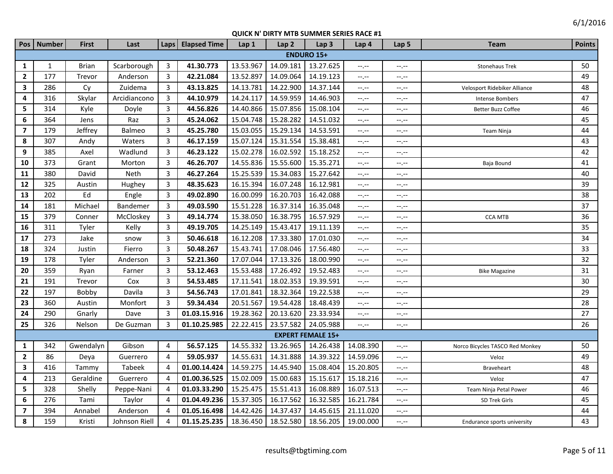| Pos                     | <b>Number</b> | <b>First</b> | Last          |                | Laps   Elapsed Time | Lap 1     | Lap <sub>2</sub> | Lap <sub>3</sub>         | Lap 4                         | Lap <sub>5</sub> | <b>Team</b>                     | <b>Points</b> |
|-------------------------|---------------|--------------|---------------|----------------|---------------------|-----------|------------------|--------------------------|-------------------------------|------------------|---------------------------------|---------------|
|                         |               |              |               |                |                     |           |                  | <b>ENDURO 15+</b>        |                               |                  |                                 |               |
| 1                       | $\mathbf{1}$  | <b>Brian</b> | Scarborough   | 3              | 41.30.773           | 13.53.967 | 14.09.181        | 13.27.625                | $--, --$                      | $-1, -1$         | <b>Stonehaus Trek</b>           | 50            |
| $\overline{2}$          | 177           | Trevor       | Anderson      | 3              | 42.21.084           | 13.52.897 | 14.09.064        | 14.19.123                | $\rightarrow$ , $\rightarrow$ | $-1, -1$         |                                 | 49            |
| $\mathbf{3}$            | 286           | Cy           | Zuidema       | 3              | 43.13.825           | 14.13.781 | 14.22.900        | 14.37.144                | --.--                         | $-1$ . $-1$      | Velosport Ridebiker Alliance    | 48            |
| 4                       | 316           | Skylar       | Arcidiancono  | $\overline{3}$ | 44.10.979           | 14.24.117 | 14.59.959        | 14.46.903                | $--, --$                      | $-1$ . $-1$      | <b>Intense Bombers</b>          | 47            |
| 5                       | 314           | Kyle         | Doyle         | $\overline{3}$ | 44.56.826           | 14.40.866 | 15.07.856        | 15.08.104                | $--, --$                      | --.--            | Better Buzz Coffee              | 46            |
| 6                       | 364           | Jens         | Raz           | $\overline{3}$ | 45.24.062           | 15.04.748 | 15.28.282        | 14.51.032                | --.--                         | --.--            |                                 | 45            |
| $\overline{\mathbf{z}}$ | 179           | Jeffrey      | Balmeo        | 3              | 45.25.780           | 15.03.055 | 15.29.134        | 14.53.591                | $-1$ , $-1$                   | $-1$ . $-1$      | Team Ninja                      | 44            |
| 8                       | 307           | Andy         | Waters        | 3              | 46.17.159           | 15.07.124 | 15.31.554        | 15.38.481                | $-1, -1$                      | $-1, -1$         |                                 | 43            |
| 9                       | 385           | Axel         | Wadlund       | 3              | 46.23.122           | 15.02.278 | 16.02.592        | 15.18.252                | $-1 - 1 - 1 = 0$              | $-1, -1$         |                                 | 42            |
| 10                      | 373           | Grant        | Morton        | 3              | 46.26.707           | 14.55.836 | 15.55.600        | 15.35.271                | --.--                         | $-1, -1$         | Baja Bound                      | 41            |
| 11                      | 380           | David        | Neth          | $\overline{3}$ | 46.27.264           | 15.25.539 | 15.34.083        | 15.27.642                | $--, --$                      | $-1$ . $-1$      |                                 | 40            |
| 12                      | 325           | Austin       | Hughey        | $\overline{3}$ | 48.35.623           | 16.15.394 | 16.07.248        | 16.12.981                | $-1, -1$                      | --,--            |                                 | 39            |
| 13                      | 202           | Ed           | Engle         | $\overline{3}$ | 49.02.890           | 16.00.099 | 16.20.703        | 16.42.088                | $-1$                          | --,--            |                                 | 38            |
| 14                      | 181           | Michael      | Bandemer      | 3              | 49.03.590           | 15.51.228 | 16.37.314        | 16.35.048                | $-1, -1$                      | $-1, -1$         |                                 | 37            |
| 15                      | 379           | Conner       | McCloskey     | 3              | 49.14.774           | 15.38.050 | 16.38.795        | 16.57.929                | $-1 - 1 - 1 = 0$              | $-1, -1$         | <b>CCA MTB</b>                  | 36            |
| 16                      | 311           | Tyler        | Kelly         | 3              | 49.19.705           | 14.25.149 | 15.43.417        | 19.11.139                | $-1, -1$                      | $-1, -1$         |                                 | 35            |
| 17                      | 273           | Jake         | snow          | 3              | 50.46.618           | 16.12.208 | 17.33.380        | 17.01.030                | --.--                         | $-1$ , $-1$      |                                 | 34            |
| 18                      | 324           | Justin       | Fierro        | $\overline{3}$ | 50.48.267           | 15.43.741 | 17.08.046        | 17.56.480                | $--, --$                      | $-1$ . $-1$      |                                 | 33            |
| 19                      | 178           | Tyler        | Anderson      | $\overline{3}$ | 52.21.360           | 17.07.044 | 17.13.326        | 18.00.990                | $--, --$                      | --.--            |                                 | 32            |
| 20                      | 359           | Ryan         | Farner        | $\overline{3}$ | 53.12.463           | 15.53.488 | 17.26.492        | 19.52.483                | $-1, -1$                      | $-1$ . $-1$      | <b>Bike Magazine</b>            | 31            |
| 21                      | 191           | Trevor       | Cox           | $\mathbf{3}$   | 54.53.485           | 17.11.541 | 18.02.353        | 19.39.591                | $-1, -1$                      | $-1$ . $-1$      |                                 | 30            |
| 22                      | 197           | Bobby        | Davila        | $\overline{3}$ | 54.56.743           | 17.01.841 | 18.32.364        | 19.22.538                | $-1, -1$                      | $-1$ . $-1$      |                                 | 29            |
| 23                      | 360           | Austin       | Monfort       | $\overline{3}$ | 59.34.434           | 20.51.567 | 19.54.428        | 18.48.439                | $--, --$                      | $-1, -1$         |                                 | 28            |
| 24                      | 290           | Gnarly       | Dave          | 3              | 01.03.15.916        | 19.28.362 | 20.13.620        | 23.33.934                | $-1$                          | $-1$             |                                 | 27            |
| 25                      | 326           | Nelson       | De Guzman     | 3              | 01.10.25.985        | 22.22.415 | 23.57.582        | 24.05.988                | $--, --$                      | --,--            |                                 | 26            |
|                         |               |              |               |                |                     |           |                  | <b>EXPERT FEMALE 15+</b> |                               |                  |                                 |               |
| $\mathbf{1}$            | 342           | Gwendalyn    | Gibson        | 4              | 56.57.125           | 14.55.332 | 13.26.965        | 14.26.438                | 14.08.390                     | $-1$ . $-1$      | Norco Bicycles TASCO Red Monkey | 50            |
| $\mathbf{2}$            | 86            | Deya         | Guerrero      | 4              | 59.05.937           | 14.55.631 | 14.31.888        | 14.39.322                | 14.59.096                     | --,--            | Veloz                           | 49            |
| 3                       | 416           | Tammy        | Tabeek        | $\overline{4}$ | 01.00.14.424        | 14.59.275 | 14.45.940        | 15.08.404                | 15.20.805                     | $-1, -1$         | <b>Braveheart</b>               | 48            |
| 4                       | 213           | Geraldine    | Guerrero      | 4              | 01.00.36.525        | 15.02.009 | 15.00.683        | 15.15.617                | 15.18.216                     | $-1$             | Veloz                           | 47            |
| 5                       | 328           | Shelly       | Peppe-Nani    | $\overline{4}$ | 01.03.33.290        | 15.25.475 | 15.51.413        | 16.08.889                | 16.07.513                     | $-1$             | Team Ninja Petal Power          | 46            |
| 6                       | 276           | Tami         | Taylor        | 4              | 01.04.49.236        | 15.37.305 | 16.17.562        | 16.32.585                | 16.21.784                     | $-1$ .           | SD Trek Girls                   | 45            |
| $\overline{7}$          | 394           | Annabel      | Anderson      | $\overline{4}$ | 01.05.16.498        | 14.42.426 | 14.37.437        | 14.45.615                | 21.11.020                     | $-1$ . $-1$      |                                 | 44            |
| 8                       | 159           | Kristi       | Johnson Riell | $\overline{4}$ | 01.15.25.235        | 18.36.450 | 18.52.580        | 18.56.205                | 19.00.000                     | --,--            | Endurance sports university     | 43            |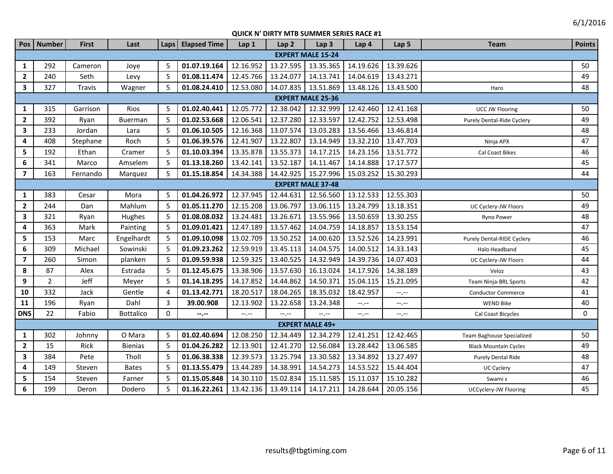| Pos                     | <b>Number</b>            | <b>First</b> | Last             | Laps           | <b>Elapsed Time</b> | Lap <sub>1</sub> | Lap <sub>2</sub> | Lap <sub>3</sub>         | Lap 4     | Lap 5     | <b>Team</b>                  | <b>Points</b> |
|-------------------------|--------------------------|--------------|------------------|----------------|---------------------|------------------|------------------|--------------------------|-----------|-----------|------------------------------|---------------|
|                         |                          |              |                  |                |                     |                  |                  | <b>EXPERT MALE 15-24</b> |           |           |                              |               |
| 1                       | 292                      | Cameron      | Joye             | -5             | 01.07.19.164        | 12.16.952        | 13.27.595        | 13.35.365                | 14.19.626 | 13.39.626 |                              | 50            |
| $\overline{2}$          | 240                      | Seth         | Levy             | 5              | 01.08.11.474        | 12.45.766        | 13.24.077        | 14.13.741                | 14.04.619 | 13.43.271 |                              | 49            |
| $\overline{\mathbf{3}}$ | 327                      | Travis       | Wagner           | 5              | 01.08.24.410        | 12.53.080        | 14.07.835        | 13.51.869                | 13.48.126 | 13.43.500 | Haro                         | 48            |
|                         |                          |              |                  |                |                     |                  |                  | <b>EXPERT MALE 25-36</b> |           |           |                              |               |
| $\mathbf{1}$            | 315                      | Garrison     | Rios             | 5              | 01.02.40.441        | 12.05.772        | 12.38.042        | 12.32.999                | 12.42.460 | 12.41.168 | <b>UCC JW Flooring</b>       | 50            |
| $\overline{2}$          | 392                      | Ryan         | Buerman          | 5              | 01.02.53.668        | 12.06.541        | 12.37.280        | 12.33.597                | 12.42.752 | 12.53.498 | Purely Dental-Ride Cyclery   | 49            |
| $\mathbf{3}$            | 233                      | Jordan       | Lara             | 5              | 01.06.10.505        | 12.16.368        | 13.07.574        | 13.03.283                | 13.56.466 | 13.46.814 |                              | 48            |
| 4                       | 408                      | Stephane     | Roch             | 5              | 01.06.39.576        | 12.41.907        | 13.22.807        | 13.14.949                | 13.32.210 | 13.47.703 | Ninja APX                    | 47            |
| 5                       | 192                      | Ethan        | Cramer           | 5              | 01.10.03.394        | 13.35.878        | 13.55.373        | 14.17.215                | 14.23.156 | 13.51.772 | Cal Coast Bikes              | 46            |
| $\boldsymbol{6}$        | 341                      | Marco        | Amselem          | -5             | 01.13.18.260        | 13.42.141        | 13.52.187        | 14.11.467                | 14.14.888 | 17.17.577 |                              | 45            |
| $\overline{7}$          | 163                      | Fernando     | Marquez          | -5             | 01.15.18.854        | 14.34.388        | 14.42.925        | 15.27.996                | 15.03.252 | 15.30.293 |                              | 44            |
|                         | <b>EXPERT MALE 37-48</b> |              |                  |                |                     |                  |                  |                          |           |           |                              |               |
| 1                       | 383                      | Cesar        | Mora             | -5             | 01.04.26.972        | 12.37.945        | 12.44.631        | 12.56.560                | 13.12.533 | 12.55.303 |                              | 50            |
| $\overline{\mathbf{2}}$ | 244                      | Dan          | Mahlum           | 5              | 01.05.11.270        | 12.15.208        | 13.06.797        | 13.06.115                | 13.24.799 | 13.18.351 | UC Cyclery-JW Floors         | 49            |
| $\overline{\mathbf{3}}$ | 321                      | Ryan         | Hughes           | 5              | 01.08.08.032        | 13.24.481        | 13.26.671        | 13.55.966                | 13.50.659 | 13.30.255 | Ryno Power                   | 48            |
| 4                       | 363                      | Mark         | Painting         | -5             | 01.09.01.421        | 12.47.189        | 13.57.462        | 14.04.759                | 14.18.857 | 13.53.154 |                              | 47            |
| 5                       | 153                      | Marc         | Engelhardt       | -5             | 01.09.10.098        | 13.02.709        | 13.50.252        | 14.00.620                | 13.52.526 | 14.23.991 | Purely Dental-RIDE Cyclery   | 46            |
| $\boldsymbol{6}$        | 309                      | Michael      | Sowinski         | .5             | 01.09.23.262        | 12.59.919        | 13.45.113        | 14.04.575                | 14.00.512 | 14.33.143 | Halo Headband                | 45            |
| $\overline{\mathbf{z}}$ | 260                      | Simon        | planken          | -5             | 01.09.59.938        | 12.59.325        | 13.40.525        | 14.32.949                | 14.39.736 | 14.07.403 | UC Cyclery-JW Floors         | 44            |
| 8                       | 87                       | Alex         | Estrada          | -5             | 01.12.45.675        | 13.38.906        | 13.57.630        | 16.13.024                | 14.17.926 | 14.38.189 | Veloz                        | 43            |
| 9                       | $\overline{2}$           | Jeff         | Meyer            | -5             | 01.14.18.295        | 14.17.852        | 14.44.862        | 14.50.371                | 15.04.115 | 15.21.095 | Team Ninja-BRL Sports        | 42            |
| 10                      | 332                      | Jack         | Gentle           | $\overline{4}$ | 01.13.42.771        | 18.20.517        | 18.04.265        | 18.35.032                | 18.42.957 | $-1, -1$  | <b>Conductor Commerce</b>    | 41            |
| 11                      | 196                      | Ryan         | Dahl             | 3              | 39.00.908           | 12.13.902        | 13.22.658        | 13.24.348                | --,--     | --.--     | <b>WEND Bike</b>             | 40            |
| <b>DNS</b>              | 22                       | Fabio        | <b>Bottalico</b> | $\Omega$       | --.--               | $-1$             | $-1$ .           | $-1$ .                   | $-1$      | $-1, -1$  | Cal Coast Bicycles           | $\mathbf 0$   |
|                         |                          |              |                  |                |                     |                  |                  | <b>EXPERT MALE 49+</b>   |           |           |                              |               |
| $\mathbf{1}$            | 302                      | Johnny       | O Mara           | 5              | 01.02.40.694        | 12.08.250        | 12.34.449        | 12.34.279                | 12.41.251 | 12.42.465 | Team Baghouse Specialized    | 50            |
| $\overline{2}$          | 15                       | Rick         | <b>Bienias</b>   | 5              | 01.04.26.282        | 12.13.901        | 12.41.270        | 12.56.084                | 13.28.442 | 13.06.585 | <b>Black Mountain Cycles</b> | 49            |
| $\mathbf{3}$            | 384                      | Pete         | Tholl            | 5              | 01.06.38.338        | 12.39.573        | 13.25.794        | 13.30.582                | 13.34.892 | 13.27.497 | Purely Dental Ride           | 48            |
| 4                       | 149                      | Steven       | <b>Bates</b>     | -5             | 01.13.55.479        | 13.44.289        | 14.38.991        | 14.54.273                | 14.53.522 | 15.44.404 | UC Cyclery                   | 47            |
| 5                       | 154                      | Steven       | Farner           | -5             | 01.15.05.848        | 14.30.110        | 15.02.834        | 15.11.585                | 15.11.037 | 15.10.282 | Swami s                      | 46            |
| 6                       | 199                      | Deron        | Dodero           | 5              | 01.16.22.261        | 13.42.136        | 13.49.114        | 14.17.211                | 14.28.644 | 20.05.156 | UCCyclery-JW Flooring        | 45            |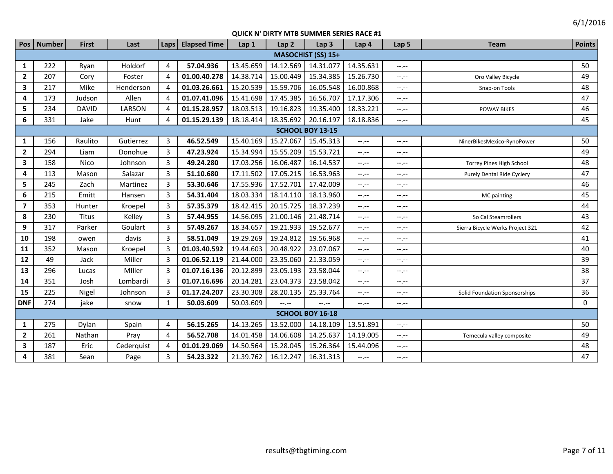|                         | Pos   Number | <b>First</b> | Last       | <b>Laps</b>           | <b>Elapsed Time</b> | Lap 1     | Lap <sub>2</sub> | Lap <sub>3</sub>          | Lap 4       | Lap 5            | <b>Team</b>                      | <b>Points</b> |
|-------------------------|--------------|--------------|------------|-----------------------|---------------------|-----------|------------------|---------------------------|-------------|------------------|----------------------------------|---------------|
|                         |              |              |            |                       |                     |           |                  | <b>MASOCHIST (SS) 15+</b> |             |                  |                                  |               |
| 1                       | 222          | Ryan         | Holdorf    | $\overline{4}$        | 57.04.936           | 13.45.659 | 14.12.569        | 14.31.077                 | 14.35.631   | $-1$ , $-1$      |                                  | 50            |
| $\overline{2}$          | 207          | Cory         | Foster     | $\overline{4}$        | 01.00.40.278        | 14.38.714 | 15.00.449        | 15.34.385                 | 15.26.730   | $-1$ , $-1$      | Oro Valley Bicycle               | 49            |
| $\overline{\mathbf{3}}$ | 217          | Mike         | Henderson  | $\overline{a}$        | 01.03.26.661        | 15.20.539 | 15.59.706        | 16.05.548                 | 16.00.868   | $-1$ , $-1$      | Snap-on Tools                    | 48            |
| 4                       | 173          | Judson       | Allen      | $\boldsymbol{\Delta}$ | 01.07.41.096        | 15.41.698 | 17.45.385        | 16.56.707                 | 17.17.306   | $-1$ , $-1$      |                                  | 47            |
| 5                       | 234          | <b>DAVID</b> | LARSON     | $\overline{a}$        | 01.15.28.957        | 18.03.513 | 19.16.823        | 19.35.400                 | 18.33.221   | $-1$ , $-1$      | <b>POWAY BIKES</b>               | 46            |
| 6                       | 331          | Jake         | Hunt       | $\boldsymbol{\Delta}$ | 01.15.29.139        | 18.18.414 | 18.35.692        | 20.16.197                 | 18.18.836   | $-1$ , $-1$      |                                  | 45            |
|                         |              |              |            |                       |                     |           |                  | SCHOOL BOY 13-15          |             |                  |                                  |               |
| 1                       | 156          | Raulito      | Gutierrez  | 3                     | 46.52.549           | 15.40.169 | 15.27.067        | 15.45.313                 | $-1$        | $-1 - 1 - 1 = 0$ | NinerBikesMexico-RynoPower       | 50            |
| $\overline{2}$          | 294          | Liam         | Donohue    | 3                     | 47.23.924           | 15.34.994 | 15.55.209        | 15.53.721                 | $-1$        | $-1 - 1 - 1 = 0$ |                                  | 49            |
| $\overline{\mathbf{3}}$ | 158          | <b>Nico</b>  | Johnson    | 3                     | 49.24.280           | 17.03.256 | 16.06.487        | 16.14.537                 | $-1$        | $-1$ , $-1$      | Torrey Pines High School         | 48            |
| 4                       | 113          | Mason        | Salazar    | 3                     | 51.10.680           | 17.11.502 | 17.05.215        | 16.53.963                 | $-1$        | $-1, -1$         | Purely Dental Ride Cyclery       | 47            |
| 5                       | 245          | Zach         | Martinez   | 3                     | 53.30.646           | 17.55.936 | 17.52.701        | 17.42.009                 | $-1$        | $-1$ , $-1$      |                                  | 46            |
| 6                       | 215          | Emitt        | Hansen     | 3                     | 54.31.404           | 18.03.334 | 18.14.110        | 18.13.960                 | $-1$        | $-1$ , $-1$      | MC painting                      | 45            |
| $\overline{7}$          | 353          | Hunter       | Kroepel    | 3                     | 57.35.379           | 18.42.415 | 20.15.725        | 18.37.239                 | $-1$ , $-1$ | $-1$ , $-1$      |                                  | 44            |
| 8                       | 230          | <b>Titus</b> | Kelley     | 3                     | 57.44.955           | 14.56.095 | 21.00.146        | 21.48.714                 | $-1$ , $-1$ | $-1 - 1 - 1 = 0$ | So Cal Steamrollers              | 43            |
| 9                       | 317          | Parker       | Goulart    | 3                     | 57.49.267           | 18.34.657 | 19.21.933        | 19.52.677                 | $-1$ , $-1$ | $-1$ , $-1$      | Sierra Bicycle Werks Project 321 | 42            |
| 10                      | 198          | owen         | davis      | 3                     | 58.51.049           | 19.29.269 | 19.24.812        | 19.56.968                 | $--, --$    | $-1, -1$         |                                  | 41            |
| 11                      | 352          | Mason        | Kroepel    | 3                     | 01.03.40.592        | 19.44.603 | 20.48.922        | 23.07.067                 | $-1$ , $-1$ | $-1 - 1 - 1 = 0$ |                                  | 40            |
| 12                      | 49           | Jack         | Miller     | 3                     | 01.06.52.119        | 21.44.000 | 23.35.060        | 21.33.059                 | $-1, -1$    | $-1 - 1 - 1 = 0$ |                                  | 39            |
| 13                      | 296          | Lucas        | Miller     | 3                     | 01.07.16.136        | 20.12.899 | 23.05.193        | 23.58.044                 | $-1$ , $-1$ | $-1 - 1 - 1 = 0$ |                                  | 38            |
| 14                      | 351          | Josh         | Lombardi   | 3                     | 01.07.16.696        | 20.14.281 | 23.04.373        | 23.58.042                 | $-1, -1$    | $--, --$         |                                  | 37            |
| 15                      | 225          | Nigel        | Johnson    | 3                     | 01.17.24.207        | 23.30.308 | 28.20.135        | 25.33.764                 | $-1$ , $-1$ | $-1 - 1 - 1 = 0$ | Solid Foundation Sponsorships    | 36            |
| <b>DNF</b>              | 274          | jake         | snow       | 1                     | 50.03.609           | 50.03.609 | $-1$             | --.--                     | $-1, -1$    | $-1, -1$         |                                  | 0             |
|                         |              |              |            |                       |                     |           |                  | <b>SCHOOL BOY 16-18</b>   |             |                  |                                  |               |
| $\mathbf{1}$            | 275          | Dylan        | Spain      | 4                     | 56.15.265           | 14.13.265 | 13.52.000        | 14.18.109                 | 13.51.891   | $-1$ , $-1$      |                                  | 50            |
| $\overline{2}$          | 261          | Nathan       | Pray       | 4                     | 56.52.708           | 14.01.458 | 14.06.608        | 14.25.637                 | 14.19.005   | $-1$ , $-1$      | Temecula valley composite        | 49            |
| 3                       | 187          | Eric         | Cederquist | 4                     | 01.01.29.069        | 14.50.564 | 15.28.045        | 15.26.364                 | 15.44.096   | $-1, -1$         |                                  | 48            |
| 4                       | 381          | Sean         | Page       | 3                     | 54.23.322           | 21.39.762 | 16.12.247        | 16.31.313                 | $-1$ , $-1$ | $-1 - 1 - 1 = 0$ |                                  | 47            |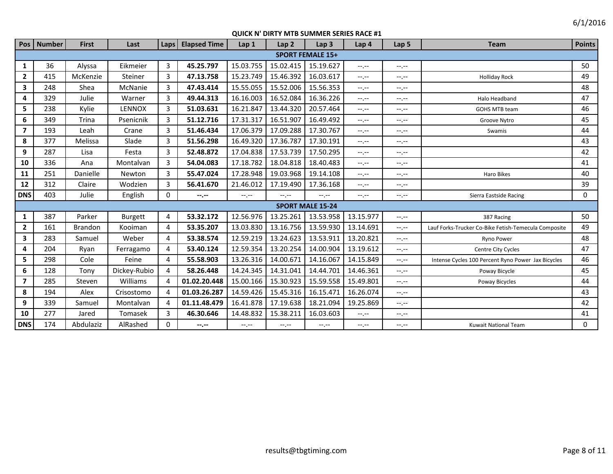| Pos                      | <b>Number</b> | <b>First</b>   | Last           | <b>Laps</b>                 | <b>Elapsed Time</b> | Lap <sub>1</sub> | Lap <sub>2</sub> | Lap <sub>3</sub>        | Lap <sub>4</sub> | Lap <sub>5</sub> | <b>Team</b>                                          | <b>Points</b> |
|--------------------------|---------------|----------------|----------------|-----------------------------|---------------------|------------------|------------------|-------------------------|------------------|------------------|------------------------------------------------------|---------------|
|                          |               |                |                |                             |                     |                  |                  | <b>SPORT FEMALE 15+</b> |                  |                  |                                                      |               |
| 1                        | 36            | Alyssa         | Eikmeier       | 3                           | 45.25.797           | 15.03.755        | 15.02.415        | 15.19.627               | $-1 - 1 - 1 = 0$ | $-1$             |                                                      | 50            |
| $\overline{2}$           | 415           | McKenzie       | Steiner        | 3                           | 47.13.758           | 15.23.749        | 15.46.392        | 16.03.617               | $-1, -1$         | $-1, -1$         | <b>Holliday Rock</b>                                 | 49            |
| $\mathbf{3}$             | 248           | Shea           | McNanie        | 3                           | 47.43.414           | 15.55.055        | 15.52.006        | 15.56.353               | $-1$ .           | $-1 - 1 - 1 = 0$ |                                                      | 48            |
| 4                        | 329           | Julie          | Warner         | 3                           | 49.44.313           | 16.16.003        | 16.52.084        | 16.36.226               | $-1$ , $-1$      | $-1, -1$         | Halo Headband                                        | 47            |
| 5                        | 238           | Kylie          | LENNOX         | 3                           | 51.03.631           | 16.21.847        | 13.44.320        | 20.57.464               | $-1$ , $-1$      | $-1$ , $-1$      | <b>GOHS MTB team</b>                                 | 46            |
| 6                        | 349           | Trina          | Psenicnik      | 3                           | 51.12.716           | 17.31.317        | 16.51.907        | 16.49.492               | $-1$ , $-1$      | $-1, -1$         | Groove Nytro                                         | 45            |
| $\overline{7}$           | 193           | Leah           | Crane          | $\overline{3}$              | 51.46.434           | 17.06.379        | 17.09.288        | 17.30.767               | $-1$ , $-1$      | $-1$ , $-1$      | Swamis                                               | 44            |
| 8                        | 377           | Melissa        | Slade          | 3                           | 51.56.298           | 16.49.320        | 17.36.787        | 17.30.191               | $-1$ , $-1$      | $-1$ , $-1$      |                                                      | 43            |
| 9                        | 287           | Lisa           | Festa          | 3                           | 52.48.872           | 17.04.838        | 17.53.739        | 17.50.295               | $-1$ , $-1$      | $-1, -1$         |                                                      | 42            |
| 10                       | 336           | Ana            | Montalvan      | 3                           | 54.04.083           | 17.18.782        | 18.04.818        | 18.40.483               | $-1$ .           | $-1$             |                                                      | 41            |
| 11                       | 251           | Danielle       | Newton         | 3                           | 55.47.024           | 17.28.948        | 19.03.968        | 19.14.108               | $-1$ , $-1$      | $-1$ , $-1$      | Haro Bikes                                           | 40            |
| 12                       | 312           | Claire         | Wodzien        | 3                           | 56.41.670           | 21.46.012        | 17.19.490        | 17.36.168               | $-1 - 1 - 1 = 0$ | $-1$             |                                                      | 39            |
| <b>DNS</b>               | 403           | Julie          | English        | 0                           | $-2.7 -$            | $-1.1 - 1.0$     | $-1 - 1 - 1 = 0$ | $-1, -1$                | $-1$ , $-1$      | $-1$             | Sierra Eastside Racing                               | 0             |
|                          |               |                |                |                             |                     |                  |                  | <b>SPORT MALE 15-24</b> |                  |                  |                                                      |               |
| 1                        | 387           | Parker         | <b>Burgett</b> | 4                           | 53.32.172           | 12.56.976        | 13.25.261        | 13.53.958               | 13.15.977        | $-1$ , $-1$      | 387 Racing                                           | 50            |
| $\overline{2}$           | 161           | <b>Brandon</b> | Kooiman        | 4                           | 53.35.207           | 13.03.830        | 13.16.756        | 13.59.930               | 13.14.691        | $-1$ , $-1$      | Lauf Forks-Trucker Co-Bike Fetish-Temecula Composite | 49            |
| 3                        | 283           | Samuel         | Weber          | 4                           | 53.38.574           | 12.59.219        | 13.24.623        | 13.53.911               | 13.20.821        | $-1$ , $-1$      | Ryno Power                                           | 48            |
| 4                        | 204           | Ryan           | Ferragamo      | 4                           | 53.40.124           | 12.59.354        | 13.20.254        | 14.00.904               | 13.19.612        | $-1$ , $-1$      | Centre City Cycles                                   | 47            |
| 5                        | 298           | Cole           | Feine          | 4                           | 55.58.903           | 13.26.316        | 14.00.671        | 14.16.067               | 14.15.849        | $-1, -1$         | Intense Cycles 100 Percent Ryno Power Jax Bicycles   | 46            |
| 6                        | 128           | Tony           | Dickey-Rubio   | 4                           | 58.26.448           | 14.24.345        | 14.31.041        | 14.44.701               | 14.46.361        | $-1$ , $-1$      | Poway Bicycle                                        | 45            |
| $\overline{\phantom{a}}$ | 285           | Steven         | Williams       | $\overline{a}$              | 01.02.20.448        | 15.00.166        | 15.30.923        | 15.59.558               | 15.49.801        | $-1$ , $-1$      | Poway Bicycles                                       | 44            |
| 8                        | 194           | Alex           | Crisostomo     | $\boldsymbol{\vartriangle}$ | 01.03.26.287        | 14.59.426        | 15.45.316        | 16.15.471               | 16.26.074        | $-1 - 1 - 1 = 0$ |                                                      | 43            |
| 9                        | 339           | Samuel         | Montalvan      | 4                           | 01.11.48.479        | 16.41.878        | 17.19.638        | 18.21.094               | 19.25.869        | $-1$ , $-1$      |                                                      | 42            |
| 10                       | 277           | Jared          | Tomasek        | 3                           | 46.30.646           | 14.48.832        | 15.38.211        | 16.03.603               | $-1$ , $-1$      | $-1$ , $-1$      |                                                      | 41            |
| <b>DNS</b>               | 174           | Abdulaziz      | AlRashed       | $\Omega$                    | $-1 - 1 - 1 = 0$    | $-1, -1$         | $-1, -1$         | $-1, -1$                | $-1, -1$         | $-1, -1$         | <b>Kuwait National Team</b>                          | 0             |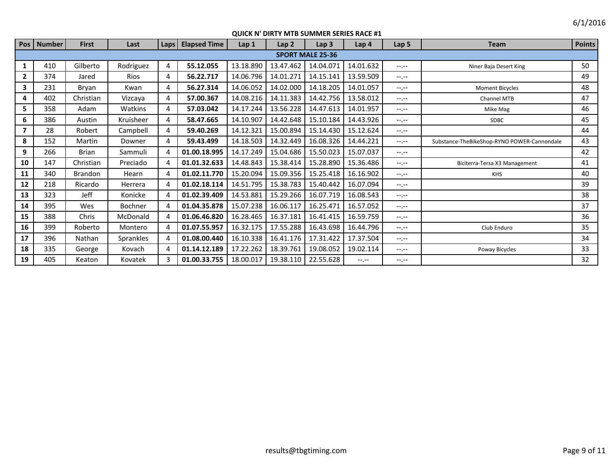|                         | Pos   Number | <b>First</b> | Last      | Laps                  | <b>Elapsed Time</b> | Lap <sub>1</sub> | Lap <sub>2</sub> | Lap <sub>3</sub>        | Lap <sub>4</sub> | Lap <sub>5</sub> | <b>Team</b>                                 | <b>Points</b> |
|-------------------------|--------------|--------------|-----------|-----------------------|---------------------|------------------|------------------|-------------------------|------------------|------------------|---------------------------------------------|---------------|
|                         |              |              |           |                       |                     |                  |                  | <b>SPORT MALE 25-36</b> |                  |                  |                                             |               |
| 1                       | 410          | Gilberto     | Rodriguez | 4                     | 55.12.055           | 13.18.890        | 13.47.462        | 14.04.071               | 14.01.632        | $-1.1 -$         | Niner Baja Desert King                      | 50            |
| $\overline{2}$          | 374          | Jared        | Rios      | 4                     | 56.22.717           | 14.06.796        | 14.01.271        | 14.15.141               | 13.59.509        | $-1 - 1 - 1 = 0$ |                                             | 49            |
| $\overline{\mathbf{3}}$ | 231          | Bryan        | Kwan      | 4                     | 56.27.314           | 14.06.052        | 14.02.000        | 14.18.205               | 14.01.057        | $-1.1 -$         | <b>Moment Bicycles</b>                      | 48            |
| 4                       | 402          | Christian    | Vizcaya   | 4                     | 57.00.367           | 14.08.216        | 14.11.383        | 14.42.756               | 13.58.012        | $-1 - 1 - 1 = 0$ | <b>Channel MTB</b>                          | 47            |
| 5.                      | 358          | Adam         | Watkins   | 4                     | 57.03.042           | 14.17.244        | 13.56.228        | 14.47.613               | 14.01.957        | $-1 - 1 - 1 = 0$ | Mike Mag                                    | 46            |
| 6                       | 386          | Austin       | Kruisheer | 4                     | 58.47.665           | 14.10.907        | 14.42.648        | 15.10.184               | 14.43.926        | $-1$ , $-1$      | <b>SDBC</b>                                 | 45            |
| 7                       | 28           | Robert       | Campbell  | 4                     | 59.40.269           | 14.12.321        | 15.00.894        | 15.14.430               | 15.12.624        | $-1.1 -$         |                                             | 44            |
| 8                       | 152          | Martin       | Downer    | 4                     | 59.43.499           | 14.18.503        | 14.32.449        | 16.08.326               | 14.44.221        | $-1 - 1 - 1 = 0$ | Substance-TheBikeShop-RYNO POWER-Cannondale | 43            |
| 9                       | 266          | Brian        | Sammuli   | Δ                     | 01.00.18.995        | 14.17.249        | 15.04.686        | 15.50.023               | 15.07.037        | $-1.1 - 1.0$     |                                             | 42            |
| 10                      | 147          | Christian    | Preciado  | 4                     | 01.01.32.633        | 14.48.843        | 15.38.414        | 15.28.890               | 15.36.486        | $-1.1 -$         | Biciterra-Tersa X3 Management               | 41            |
| 11                      | 340          | Brandon      | Hearn     | Δ                     | 01.02.11.770        | 15.20.094        | 15.09.356        | 15.25.418               | 16.16.902        | $-1.1 -$         | <b>KHS</b>                                  | 40            |
| 12                      | 218          | Ricardo      | Herrera   | 4                     | 01.02.18.114        | 14.51.795        | 15.38.783        | 15.40.442               | 16.07.094        | $-1.1 -$         |                                             | 39            |
| 13                      | 323          | Jeff         | Konicke   | Δ                     | 01.02.39.409        | 14.53.881        | 15.29.266        | 16.07.719               | 16.08.543        | $-- - - -$       |                                             | 38            |
| 14                      | 395          | Wes          | Bochner   | 4                     | 01.04.35.878        | 15.07.238        | 16.06.117        | 16.25.471               | 16.57.052        | $-1 - 1 - 1 = 0$ |                                             | 37            |
| 15                      | 388          | Chris        | McDonald  | 4                     | 01.06.46.820        | 16.28.465        | 16.37.181        | 16.41.415               | 16.59.759        | $-1 - 1 - 1 = 0$ |                                             | 36            |
| 16                      | 399          | Roberto      | Montero   | 4                     | 01.07.55.957        | 16.32.175        | 17.55.288        | 16.43.698               | 16.44.796        | $-1.1 -$         | Club Enduro                                 | 35            |
| 17                      | 396          | Nathan       | Sprankles | $\boldsymbol{\Delta}$ | 01.08.00.440        | 16.10.338        | 16.41.176        | 17.31.422               | 17.37.504        | $--, --$         |                                             | 34            |
| 18                      | 335          | George       | Kovach    | $\boldsymbol{\Delta}$ | 01.14.12.189        | 17.22.262        | 18.39.761        | 19.08.052               | 19.02.114        | $-1$ , $-1$      | Poway Bicycles                              | 33            |
| 19                      | 405          | Keaton       | Kovatek   | 3                     | 01.00.33.755        | 18.00.017        | 19.38.110        | 22.55.628               | $-1 - 1 - 1 = 0$ | $-1 - 1 - 1 = 0$ |                                             | 32            |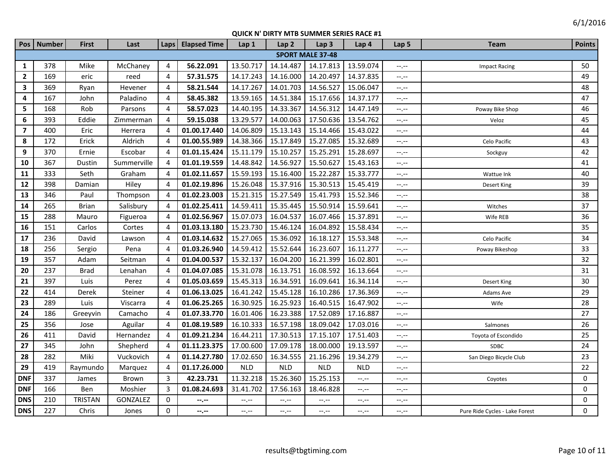| Pos                     | <b>Number</b> | <b>First</b>   | Last        | Laps           | <b>Elapsed Time</b> | Lap 1       | Lap <sub>2</sub> | Lap <sub>3</sub>        | Lap <sub>4</sub>              | Lap <sub>5</sub> | <b>Team</b>                    | <b>Points</b>  |
|-------------------------|---------------|----------------|-------------|----------------|---------------------|-------------|------------------|-------------------------|-------------------------------|------------------|--------------------------------|----------------|
|                         |               |                |             |                |                     |             |                  | <b>SPORT MALE 37-48</b> |                               |                  |                                |                |
| $\mathbf{1}$            | 378           | Mike           | McChaney    | 4              | 56.22.091           | 13.50.717   | 14.14.487        | 14.17.813               | 13.59.074                     | $-1$ . $-1$      | <b>Impact Racing</b>           | 50             |
| $\overline{2}$          | 169           | eric           | reed        | 4              | 57.31.575           | 14.17.243   | 14.16.000        | 14.20.497               | 14.37.835                     | $-1$ . $-1$      |                                | 49             |
| $\overline{\mathbf{3}}$ | 369           | Ryan           | Hevener     | 4              | 58.21.544           | 14.17.267   | 14.01.703        | 14.56.527               | 15.06.047                     | $-1$ . $-1$      |                                | 48             |
| 4                       | 167           | John           | Paladino    | 4              | 58.45.382           | 13.59.165   | 14.51.384        | 15.17.656               | 14.37.177                     | $-1 - 1 - 1 = 0$ |                                | 47             |
| 5                       | 168           | Rob            | Parsons     | 4              | 58.57.023           | 14.40.195   | 14.33.367        | 14.56.312               | 14.47.149                     | $-1$ . $-1$      | Poway Bike Shop                | 46             |
| 6                       | 393           | Eddie          | Zimmerman   | 4              | 59.15.038           | 13.29.577   | 14.00.063        | 17.50.636               | 13.54.762                     | --,--            | Veloz                          | 45             |
| $\overline{\mathbf{z}}$ | 400           | Eric           | Herrera     | 4              | 01.00.17.440        | 14.06.809   | 15.13.143        | 15.14.466               | 15.43.022                     | $-1, -1$         |                                | 44             |
| 8                       | 172           | Erick          | Aldrich     | 4              | 01.00.55.989        | 14.38.366   | 15.17.849        | 15.27.085               | 15.32.689                     | $-1$ , $-1$      | Celo Pacific                   | 43             |
| 9                       | 370           | Ernie          | Escobar     | $\overline{4}$ | 01.01.15.424        | 15.11.179   | 15.10.257        | 15.25.291               | 15.28.697                     | $-1 - 1 - 1 = 0$ | Sockguy                        | 42             |
| 10                      | 367           | Dustin         | Summerville | $\overline{4}$ | 01.01.19.559        | 14.48.842   | 14.56.927        | 15.50.627               | 15.43.163                     | $-1, -1$         |                                | 41             |
| 11                      | 333           | Seth           | Graham      | $\overline{4}$ | 01.02.11.657        | 15.59.193   | 15.16.400        | 15.22.287               | 15.33.777                     | $-1 - 1 - 1 = 0$ | Wattue Ink                     | 40             |
| 12                      | 398           | Damian         | Hiley       | $\overline{4}$ | 01.02.19.896        | 15.26.048   | 15.37.916        | 15.30.513               | 15.45.419                     | $-1$ , $-1$      | Desert King                    | 39             |
| 13                      | 346           | Paul           | Thompson    | 4              | 01.02.23.003        | 15.21.315   | 15.27.549        | 15.41.793               | 15.52.346                     | $-1$ .           |                                | 38             |
| 14                      | 265           | <b>Brian</b>   | Salisbury   | 4              | 01.02.25.411        | 14.59.411   | 15.35.445        | 15.50.914               | 15.59.641                     | $-1$ , $-1$      | Witches                        | 37             |
| 15                      | 288           | Mauro          | Figueroa    | 4              | 01.02.56.967        | 15.07.073   | 16.04.537        | 16.07.466               | 15.37.891                     | --,--            | Wife REB                       | 36             |
| 16                      | 151           | Carlos         | Cortes      | $\overline{4}$ | 01.03.13.180        | 15.23.730   | 15.46.124        | 16.04.892               | 15.58.434                     | $-1$ , $-1$      |                                | 35             |
| 17                      | 236           | David          | Lawson      | $\overline{4}$ | 01.03.14.632        | 15.27.065   | 15.36.092        | 16.18.127               | 15.53.348                     | --.--            | Celo Pacific                   | 34             |
| 18                      | 256           | Sergio         | Pena        | 4              | 01.03.26.940        | 14.59.412   | 15.52.644        | 16.23.607               | 16.11.277                     | $-1$ . $-1$      | Poway Bikeshop                 | 33             |
| 19                      | 357           | Adam           | Seitman     | $\overline{4}$ | 01.04.00.537        | 15.32.137   | 16.04.200        | 16.21.399               | 16.02.801                     | $-1, -1$         |                                | 32             |
| 20                      | 237           | <b>Brad</b>    | Lenahan     | $\overline{4}$ | 01.04.07.085        | 15.31.078   | 16.13.751        | 16.08.592               | 16.13.664                     | $-1$ .           |                                | 31             |
| 21                      | 397           | Luis           | Perez       | $\overline{4}$ | 01.05.03.659        | 15.45.313   | 16.34.591        | 16.09.641               | 16.34.114                     | $-1$ . $-1$      | Desert King                    | 30             |
| 22                      | 414           | Derek          | Steiner     | $\overline{4}$ | 01.06.13.025        | 16.41.242   | 15.45.128        | 16.10.286               | 17.36.369                     | $-1, -1$         | Adams Ave                      | 29             |
| 23                      | 289           | Luis           | Viscarra    | $\overline{4}$ | 01.06.25.265        | 16.30.925   | 16.25.923        | 16.40.515               | 16.47.902                     | $-1, -1$         | Wife                           | 28             |
| 24                      | 186           | Greeyvin       | Camacho     | $\overline{4}$ | 01.07.33.770        | 16.01.406   | 16.23.388        | 17.52.089               | 17.16.887                     | $-1$ . $-1$      |                                | 27             |
| 25                      | 356           | Jose           | Aguilar     | $\overline{4}$ | 01.08.19.589        | 16.10.333   | 16.57.198        | 18.09.042               | 17.03.016                     | $-1$ . $-1$      | Salmones                       | 26             |
| 26                      | 411           | David          | Hernandez   | $\overline{4}$ | 01.09.21.234        | 16.44.211   | 17.30.513        | 17.15.107               | 17.51.403                     | $-1$             | Toyota of Escondido            | 25             |
| 27                      | 345           | John           | Shepherd    | $\overline{4}$ | 01.11.23.375        | 17.00.600   | 17.09.178        | 18.00.000               | 19.13.597                     | $-1$             | <b>SDBC</b>                    | 24             |
| 28                      | 282           | Miki           | Vuckovich   | $\overline{4}$ | 01.14.27.780        | 17.02.650   | 16.34.555        | 21.16.296               | 19.34.279                     | --,--            | San Diego Bicycle Club         | 23             |
| 29                      | 419           | Raymundo       | Marquez     | $\overline{4}$ | 01.17.26.000        | <b>NLD</b>  | <b>NLD</b>       | <b>NLD</b>              | <b>NLD</b>                    | --,--            |                                | 22             |
| <b>DNF</b>              | 337           | James          | Brown       | 3              | 42.23.731           | 11.32.218   | 15.26.360        | 15.25.153               | $\rightarrow$ , $\rightarrow$ | $-1$             | Coyotes                        | $\mathbf 0$    |
| <b>DNF</b>              | 166           | Ben            | Moshier     | 3              | 01.08.24.693        | 31.41.702   | 17.56.163        | 18.46.828               | $-1$                          | --,--            |                                | $\overline{0}$ |
| <b>DNS</b>              | 210           | <b>TRISTAN</b> | GONZALEZ    | $\mathbf 0$    | --.--               | --.--       | --.--            | --.--                   | $-1, -1$                      | $-1$ . $-1$      |                                | 0              |
| <b>DNS</b>              | 227           | Chris          | Jones       | $\Omega$       | $-2 - 1$            | $-1$ , $-1$ | $-1, -1$         | $-1$                    | $-1$ , $-1$                   | $-1$ , $-1$      | Pure Ride Cycles - Lake Forest | 0              |